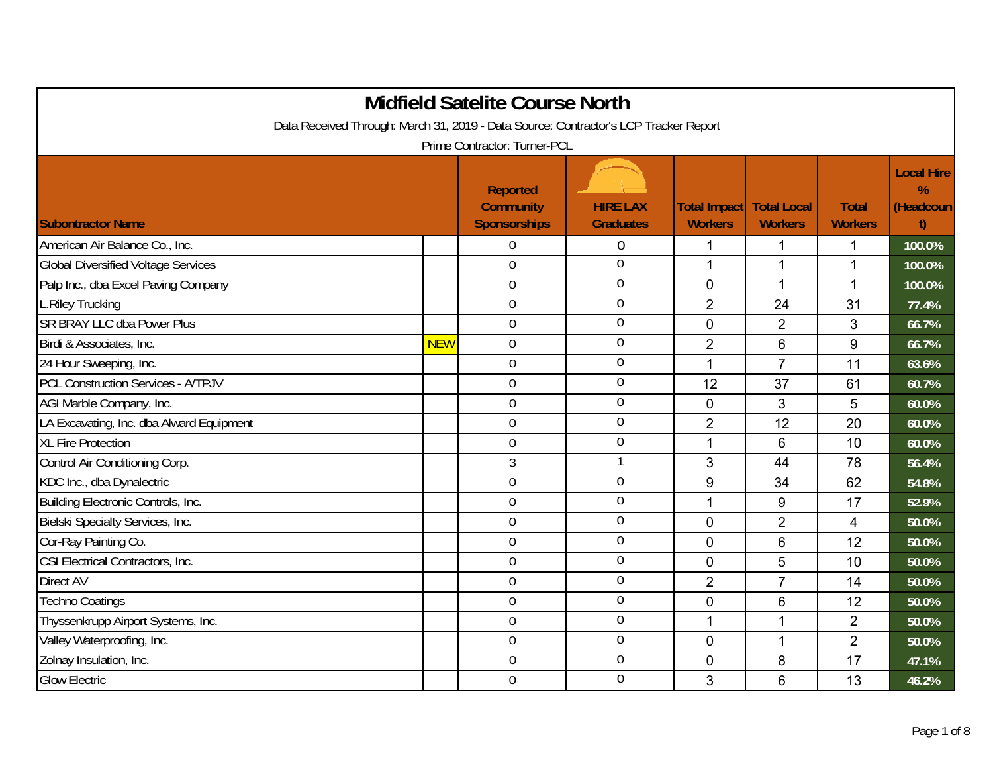| <b>Midfield Satelite Course North</b><br>Data Received Through: March 31, 2019 - Data Source: Contractor's LCP Tracker Report |            |                                                            |                                     |                                                     |                |                                |                                     |  |  |
|-------------------------------------------------------------------------------------------------------------------------------|------------|------------------------------------------------------------|-------------------------------------|-----------------------------------------------------|----------------|--------------------------------|-------------------------------------|--|--|
|                                                                                                                               |            | Prime Contractor: Turner-PCL                               |                                     |                                                     |                |                                |                                     |  |  |
| <b>Subontractor Name</b>                                                                                                      |            | <b>Reported</b><br><b>Community</b><br><b>Sponsorships</b> | <b>HIRE LAX</b><br><b>Graduates</b> | <b>Total Impact   Total Local</b><br><b>Workers</b> | <b>Workers</b> | <b>Total</b><br><b>Workers</b> | <b>Local Hire</b><br>%<br>(Headcoun |  |  |
| American Air Balance Co., Inc.                                                                                                |            | 0                                                          | $\mathbf 0$                         | 1                                                   | 1              | 1                              | 100.0%                              |  |  |
| <b>Global Diversified Voltage Services</b>                                                                                    |            | $\boldsymbol{0}$                                           | $\theta$                            | $\mathbf{1}$                                        | $\mathbf 1$    | $\mathbf{1}$                   | 100.0%                              |  |  |
| Palp Inc., dba Excel Paving Company                                                                                           |            | $\boldsymbol{0}$                                           | $\mathbf 0$                         | $\mathbf 0$                                         | 1              | $\mathbf 1$                    | 100.0%                              |  |  |
| <b>L.Riley Trucking</b>                                                                                                       |            | $\mathbf 0$                                                | $\theta$                            | $\overline{2}$                                      | 24             | 31                             | 77.4%                               |  |  |
| <b>SR BRAY LLC dba Power Plus</b>                                                                                             |            | $\mathbf 0$                                                | $\mathbf 0$                         | $\overline{0}$                                      | $\overline{2}$ | 3                              | 66.7%                               |  |  |
| Birdi & Associates, Inc.                                                                                                      | <b>NEW</b> | $\mathbf 0$                                                | $\theta$                            | $\overline{2}$                                      | 6              | 9                              | 66.7%                               |  |  |
| 24 Hour Sweeping, Inc.                                                                                                        |            | $\boldsymbol{0}$                                           | $\boldsymbol{0}$                    | 1                                                   | $\overline{7}$ | 11                             | 63.6%                               |  |  |
| <b>PCL Construction Services - A/TPJV</b>                                                                                     |            | $\boldsymbol{0}$                                           | $\boldsymbol{0}$                    | 12                                                  | 37             | 61                             | 60.7%                               |  |  |
| AGI Marble Company, Inc.                                                                                                      |            | $\mathbf 0$                                                | $\overline{0}$                      | $\mathbf 0$                                         | 3              | 5                              | 60.0%                               |  |  |
| LA Excavating, Inc. dba Alward Equipment                                                                                      |            | $\boldsymbol{0}$                                           | $\mathbf 0$                         | $\overline{2}$                                      | 12             | 20                             | 60.0%                               |  |  |
| XL Fire Protection                                                                                                            |            | $\mathbf 0$                                                | $\overline{0}$                      | 1                                                   | 6              | 10                             | 60.0%                               |  |  |
| Control Air Conditioning Corp.                                                                                                |            | 3                                                          |                                     | 3                                                   | 44             | 78                             | 56.4%                               |  |  |
| KDC Inc., dba Dynalectric                                                                                                     |            | $\mathbf 0$                                                | $\mathbf 0$                         | 9                                                   | 34             | 62                             | 54.8%                               |  |  |
| Building Electronic Controls, Inc.                                                                                            |            | $\mathbf 0$                                                | $\mathbf 0$                         | 1                                                   | 9              | 17                             | 52.9%                               |  |  |
| Bielski Specialty Services, Inc.                                                                                              |            | $\mathbf 0$                                                | $\mathbf 0$                         | $\overline{0}$                                      | $\overline{2}$ | $\overline{4}$                 | 50.0%                               |  |  |
| Cor-Ray Painting Co.                                                                                                          |            | $\boldsymbol{0}$                                           | $\overline{0}$                      | $\mathbf 0$                                         | 6              | 12                             | 50.0%                               |  |  |
| CSI Electrical Contractors, Inc.                                                                                              |            | $\boldsymbol{0}$                                           | $\mathbf 0$                         | $\overline{0}$                                      | 5              | 10                             | 50.0%                               |  |  |
| <b>Direct AV</b>                                                                                                              |            | $\mathbf 0$                                                | $\overline{0}$                      | $\overline{2}$                                      | $\overline{7}$ | 14                             | 50.0%                               |  |  |
| <b>Techno Coatings</b>                                                                                                        |            | $\boldsymbol{0}$                                           | $\mathbf 0$                         | $\mathbf 0$                                         | 6              | 12                             | 50.0%                               |  |  |
| Thyssenkrupp Airport Systems, Inc.                                                                                            |            | $\mathbf 0$                                                | $\overline{0}$                      | 1                                                   | $\mathbf 1$    | 2                              | 50.0%                               |  |  |
| Valley Waterproofing, Inc.                                                                                                    |            | $\mathbf 0$                                                | $\boldsymbol{0}$                    | $\mathbf 0$                                         | 1              | $\overline{2}$                 | 50.0%                               |  |  |
| Zolnay Insulation, Inc.                                                                                                       |            | $\mathbf 0$                                                | $\mathbf 0$                         | $\Omega$                                            | 8              | 17                             | 47.1%                               |  |  |
| <b>Glow Electric</b>                                                                                                          |            | $\overline{0}$                                             | $\theta$                            | 3                                                   | 6              | 13                             | 46.2%                               |  |  |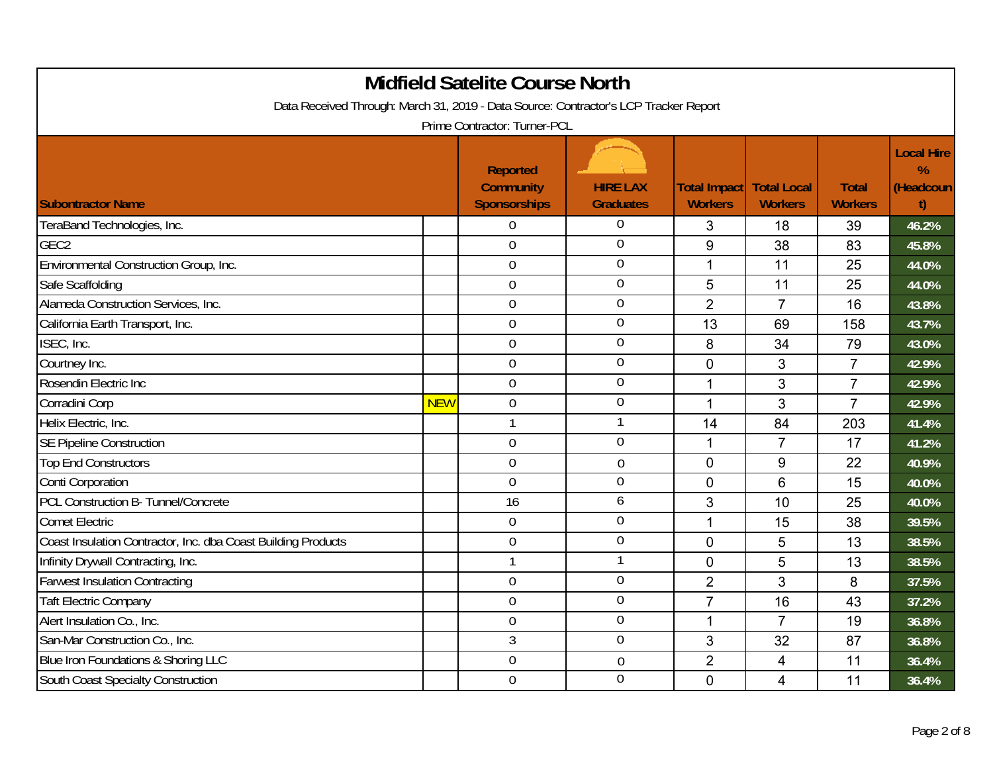| <b>Midfield Satelite Course North</b><br>Data Received Through: March 31, 2019 - Data Source: Contractor's LCP Tracker Report |            |                                                                                     |                                     |                                            |                |                                |                                           |  |  |
|-------------------------------------------------------------------------------------------------------------------------------|------------|-------------------------------------------------------------------------------------|-------------------------------------|--------------------------------------------|----------------|--------------------------------|-------------------------------------------|--|--|
| <b>Subontractor Name</b>                                                                                                      |            | Prime Contractor: Turner-PCL<br>Reported<br><b>Community</b><br><b>Sponsorships</b> | <b>HIRE LAX</b><br><b>Graduates</b> | Total Impact Total Local<br><b>Workers</b> | <b>Workers</b> | <b>Total</b><br><b>Workers</b> | <b>Local Hire</b><br>%<br>(Headcoun<br>t) |  |  |
| TeraBand Technologies, Inc.                                                                                                   |            | $\overline{0}$                                                                      | $\theta$                            | 3                                          | 18             | 39                             | 46.2%                                     |  |  |
| GEC <sub>2</sub>                                                                                                              |            | $\overline{0}$                                                                      | $\theta$                            | 9                                          | 38             | 83                             | 45.8%                                     |  |  |
| Environmental Construction Group, Inc.                                                                                        |            | $\mathbf 0$                                                                         | $\overline{0}$                      | 1                                          | 11             | 25                             | 44.0%                                     |  |  |
| Safe Scaffolding                                                                                                              |            | $\boldsymbol{0}$                                                                    | $\overline{0}$                      | 5                                          | 11             | 25                             | 44.0%                                     |  |  |
| Alameda Construction Services, Inc.                                                                                           |            | $\mathbf 0$                                                                         | $\mathbf 0$                         | $\overline{2}$                             | $\overline{7}$ | 16                             | 43.8%                                     |  |  |
| California Earth Transport, Inc.                                                                                              |            | $\mathbf 0$                                                                         | $\overline{0}$                      | 13                                         | 69             | 158                            | 43.7%                                     |  |  |
| ISEC, Inc.                                                                                                                    |            | $\mathbf 0$                                                                         | $\mathbf 0$                         | 8                                          | 34             | 79                             | 43.0%                                     |  |  |
| Courtney Inc.                                                                                                                 |            | $\mathbf 0$                                                                         | $\overline{0}$                      | $\overline{0}$                             | 3              | $\overline{7}$                 | 42.9%                                     |  |  |
| Rosendin Electric Inc                                                                                                         |            | $\mathbf 0$                                                                         | $\mathbf 0$                         | 1                                          | 3              | $\overline{7}$                 | 42.9%                                     |  |  |
| Corradini Corp                                                                                                                | <b>NEW</b> | $\boldsymbol{0}$                                                                    | $\boldsymbol{0}$                    | 1                                          | 3              | $\overline{7}$                 | 42.9%                                     |  |  |
| Helix Electric, Inc.                                                                                                          |            | $\mathbf{1}$                                                                        | $\mathbf{1}$                        | 14                                         | 84             | 203                            | 41.4%                                     |  |  |
| <b>SE Pipeline Construction</b>                                                                                               |            | $\boldsymbol{0}$                                                                    | $\overline{0}$                      | 1                                          | $\overline{7}$ | 17                             | 41.2%                                     |  |  |
| <b>Top End Constructors</b>                                                                                                   |            | $\overline{0}$                                                                      | $\theta$                            | $\mathbf 0$                                | 9              | 22                             | 40.9%                                     |  |  |
| Conti Corporation                                                                                                             |            | $\overline{0}$                                                                      | $\mathbf 0$                         | $\Omega$                                   | 6              | 15                             | 40.0%                                     |  |  |
| PCL Construction B- Tunnel/Concrete                                                                                           |            | 16                                                                                  | 6                                   | $\mathbf{3}$                               | 10             | 25                             | 40.0%                                     |  |  |
| <b>Comet Electric</b>                                                                                                         |            | $\mathbf 0$                                                                         | $\overline{0}$                      | $\mathbf 1$                                | 15             | 38                             | 39.5%                                     |  |  |
| Coast Insulation Contractor, Inc. dba Coast Building Products                                                                 |            | $\overline{0}$                                                                      | $\overline{0}$                      | $\overline{0}$                             | 5              | 13                             | 38.5%                                     |  |  |
| Infinity Drywall Contracting, Inc.                                                                                            |            | $\mathbf{1}$                                                                        |                                     | $\mathbf 0$                                | 5              | 13                             | 38.5%                                     |  |  |
| <b>Farwest Insulation Contracting</b>                                                                                         |            | $\boldsymbol{0}$                                                                    | $\overline{0}$                      | $\overline{2}$                             | 3              | 8                              | 37.5%                                     |  |  |
| <b>Taft Electric Company</b>                                                                                                  |            | $\overline{0}$                                                                      | $\mathbf 0$                         | $\overline{7}$                             | 16             | 43                             | 37.2%                                     |  |  |
| Alert Insulation Co., Inc.                                                                                                    |            | $\boldsymbol{0}$                                                                    | $\mathbf 0$                         | 1                                          | $\overline{7}$ | 19                             | 36.8%                                     |  |  |
| San-Mar Construction Co., Inc.                                                                                                |            | 3                                                                                   | $\mathbf 0$                         | 3                                          | 32             | 87                             | 36.8%                                     |  |  |
| Blue Iron Foundations & Shoring LLC                                                                                           |            | $\mathbf 0$                                                                         | $\mathbf 0$                         | $\overline{2}$                             | 4              | 11                             | 36.4%                                     |  |  |
| South Coast Specialty Construction                                                                                            |            | $\overline{0}$                                                                      | $\overline{0}$                      | $\Omega$                                   | 4              | 11                             | 36.4%                                     |  |  |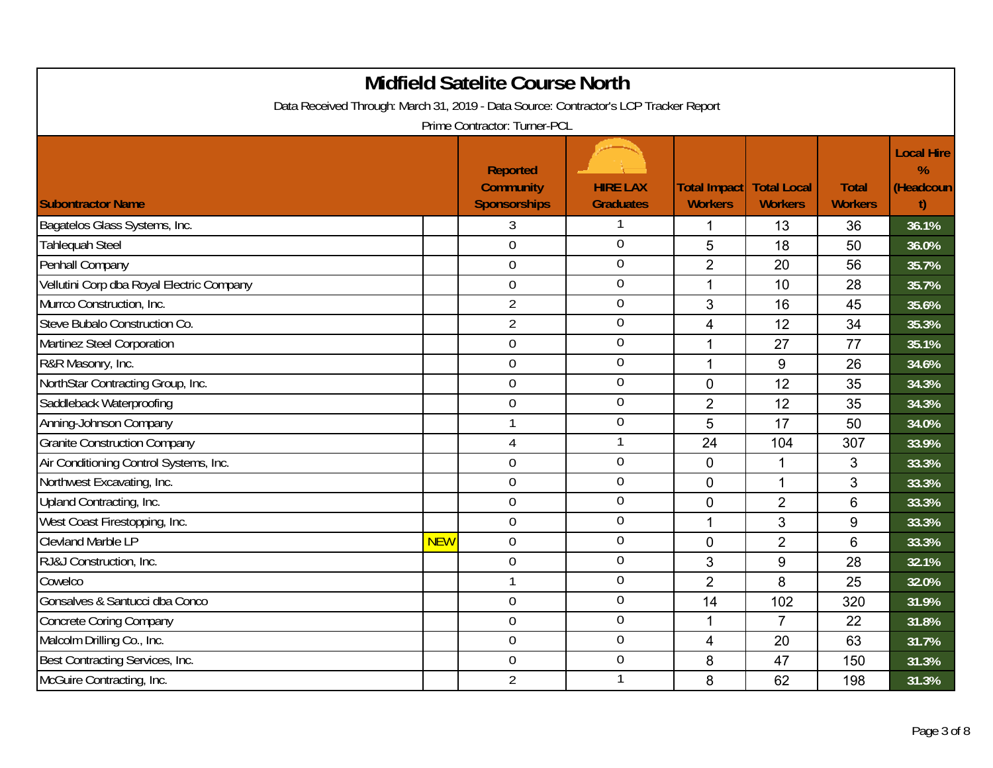| <b>Midfield Satelite Course North</b><br>Data Received Through: March 31, 2019 - Data Source: Contractor's LCP Tracker Report |            |                                                            |                                     |                                            |                |                                |                                           |  |  |
|-------------------------------------------------------------------------------------------------------------------------------|------------|------------------------------------------------------------|-------------------------------------|--------------------------------------------|----------------|--------------------------------|-------------------------------------------|--|--|
|                                                                                                                               |            | Prime Contractor: Turner-PCL                               |                                     |                                            |                |                                |                                           |  |  |
| <b>Subontractor Name</b>                                                                                                      |            | <b>Reported</b><br><b>Community</b><br><b>Sponsorships</b> | <b>HIRE LAX</b><br><b>Graduates</b> | Total Impact Total Local<br><b>Workers</b> | <b>Workers</b> | <b>Total</b><br><b>Workers</b> | <b>Local Hire</b><br>%<br>(Headcoun<br>t) |  |  |
| Bagatelos Glass Systems, Inc.                                                                                                 |            | 3                                                          | 1                                   | 1                                          | 13             | 36                             | 36.1%                                     |  |  |
| <b>Tahlequah Steel</b>                                                                                                        |            | $\overline{0}$                                             | $\mathbf 0$                         | 5                                          | 18             | 50                             | 36.0%                                     |  |  |
| Penhall Company                                                                                                               |            | $\mathbf 0$                                                | $\overline{0}$                      | $\overline{2}$                             | 20             | 56                             | 35.7%                                     |  |  |
| Vellutini Corp dba Royal Electric Company                                                                                     |            | $\mathbf 0$                                                | $\overline{0}$                      | 1                                          | 10             | 28                             | 35.7%                                     |  |  |
| Murrco Construction, Inc.                                                                                                     |            | $\overline{2}$                                             | $\mathbf 0$                         | 3                                          | 16             | 45                             | 35.6%                                     |  |  |
| Steve Bubalo Construction Co.                                                                                                 |            | $\overline{2}$                                             | $\overline{0}$                      | 4                                          | 12             | 34                             | 35.3%                                     |  |  |
| Martinez Steel Corporation                                                                                                    |            | $\mathbf 0$                                                | $\mathbf 0$                         | 1                                          | 27             | 77                             | 35.1%                                     |  |  |
| R&R Masonry, Inc.                                                                                                             |            | $\overline{0}$                                             | $\mathbf 0$                         | $\mathbf{1}$                               | 9              | 26                             | 34.6%                                     |  |  |
| NorthStar Contracting Group, Inc.                                                                                             |            | $\overline{0}$                                             | $\overline{0}$                      | $\mathbf 0$                                | 12             | 35                             | 34.3%                                     |  |  |
| Saddleback Waterproofing                                                                                                      |            | $\mathbf 0$                                                | $\boldsymbol{0}$                    | $\overline{2}$                             | 12             | 35                             | 34.3%                                     |  |  |
| Anning-Johnson Company                                                                                                        |            | $\mathbf{1}$                                               | $\mathbf 0$                         | 5                                          | 17             | 50                             | 34.0%                                     |  |  |
| <b>Granite Construction Company</b>                                                                                           |            | 4                                                          | 1                                   | 24                                         | 104            | 307                            | 33.9%                                     |  |  |
| Air Conditioning Control Systems, Inc.                                                                                        |            | $\mathbf 0$                                                | $\mathbf 0$                         | $\mathbf 0$                                | 1              | 3                              | 33.3%                                     |  |  |
| Northwest Excavating, Inc.                                                                                                    |            | $\overline{0}$                                             | $\mathbf 0$                         | $\overline{0}$                             | 1              | 3                              | 33.3%                                     |  |  |
| Upland Contracting, Inc.                                                                                                      |            | $\boldsymbol{0}$                                           | $\mathbf 0$                         | $\mathbf 0$                                | $\overline{2}$ | $6\phantom{1}6$                | 33.3%                                     |  |  |
| West Coast Firestopping, Inc.                                                                                                 |            | $\overline{0}$                                             | $\overline{0}$                      | $\mathbf 1$                                | 3              | 9                              | 33.3%                                     |  |  |
| <b>Clevland Marble LP</b>                                                                                                     | <b>NEW</b> | $\mathbf 0$                                                | $\overline{0}$                      | $\overline{0}$                             | $\overline{2}$ | 6                              | 33.3%                                     |  |  |
| RJ&J Construction, Inc.                                                                                                       |            | $\mathbf 0$                                                | $\mathbf 0$                         | 3                                          | 9              | 28                             | 32.1%                                     |  |  |
| Cowelco                                                                                                                       |            | $\mathbf{1}$                                               | $\overline{0}$                      | $\overline{2}$                             | 8              | 25                             | 32.0%                                     |  |  |
| Gonsalves & Santucci dba Conco                                                                                                |            | $\overline{0}$                                             | $\mathbf 0$                         | 14                                         | 102            | 320                            | 31.9%                                     |  |  |
| <b>Concrete Coring Company</b>                                                                                                |            | $\boldsymbol{0}$                                           | $\boldsymbol{0}$                    | 1                                          | $\overline{7}$ | 22                             | 31.8%                                     |  |  |
| Malcolm Drilling Co., Inc.                                                                                                    |            | $\boldsymbol{0}$                                           | $\mathbf 0$                         | 4                                          | 20             | 63                             | 31.7%                                     |  |  |
| Best Contracting Services, Inc.                                                                                               |            | $\overline{0}$                                             | $\overline{0}$                      | 8                                          | 47             | 150                            | 31.3%                                     |  |  |
| McGuire Contracting, Inc.                                                                                                     |            | $\overline{2}$                                             | 1                                   | 8                                          | 62             | 198                            | 31.3%                                     |  |  |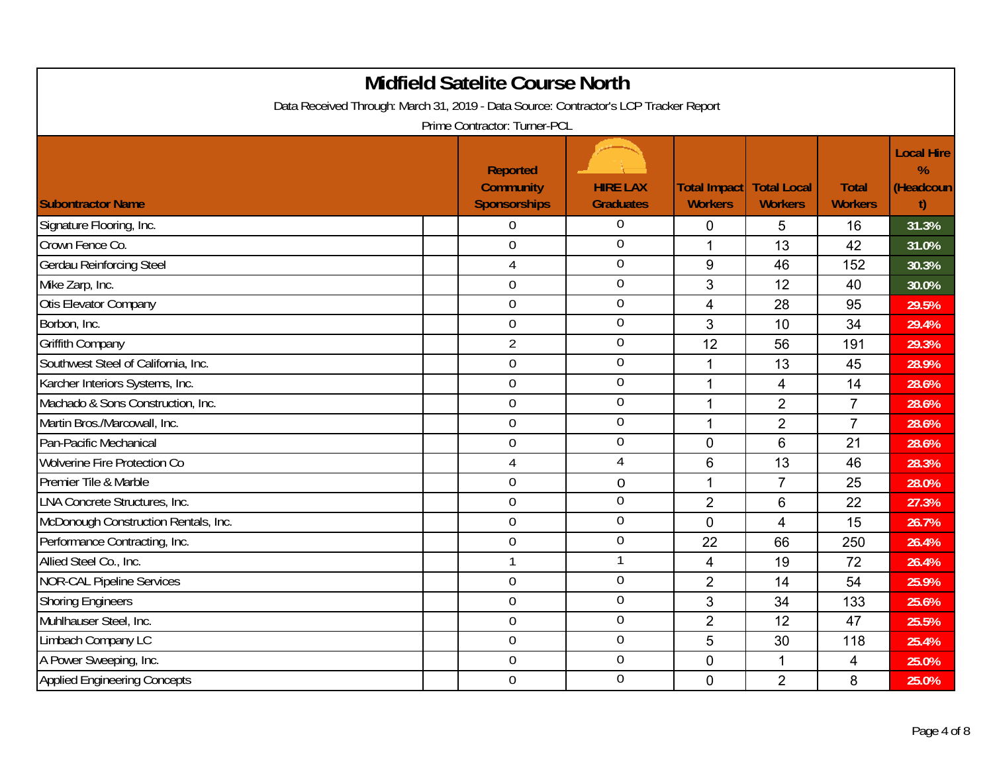| <b>Midfield Satelite Course North</b><br>Data Received Through: March 31, 2019 - Data Source: Contractor's LCP Tracker Report<br>Prime Contractor: Turner-PCL |                                                            |                                     |                                                     |                |                                |                                                       |  |  |  |
|---------------------------------------------------------------------------------------------------------------------------------------------------------------|------------------------------------------------------------|-------------------------------------|-----------------------------------------------------|----------------|--------------------------------|-------------------------------------------------------|--|--|--|
| <b>Subontractor Name</b>                                                                                                                                      | <b>Reported</b><br><b>Community</b><br><b>Sponsorships</b> | <b>HIRE LAX</b><br><b>Graduates</b> | <b>Total Impact   Total Local</b><br><b>Workers</b> | <b>Workers</b> | <b>Total</b><br><b>Workers</b> | <b>Local Hire</b><br>$\frac{9}{6}$<br>(Headcoun<br>t) |  |  |  |
| Signature Flooring, Inc.                                                                                                                                      | $\theta$                                                   | 0                                   | 0                                                   | 5              | 16                             | 31.3%                                                 |  |  |  |
| Crown Fence Co.                                                                                                                                               | $\mathbf 0$                                                | $\overline{0}$                      | 1                                                   | 13             | 42                             | 31.0%                                                 |  |  |  |
| Gerdau Reinforcing Steel                                                                                                                                      | 4                                                          | $\overline{0}$                      | 9                                                   | 46             | 152                            | 30.3%                                                 |  |  |  |
| Mike Zarp, Inc.                                                                                                                                               | $\mathbf 0$                                                | $\mathbf 0$                         | 3                                                   | 12             | 40                             | 30.0%                                                 |  |  |  |
| Otis Elevator Company                                                                                                                                         | $\overline{0}$                                             | $\overline{0}$                      | $\overline{4}$                                      | 28             | 95                             | 29.5%                                                 |  |  |  |
| Borbon, Inc.                                                                                                                                                  | $\mathbf 0$                                                | $\boldsymbol{0}$                    | 3                                                   | 10             | 34                             | 29.4%                                                 |  |  |  |
| Griffith Company                                                                                                                                              | $\overline{2}$                                             | $\mathbf 0$                         | 12                                                  | 56             | 191                            | 29.3%                                                 |  |  |  |
| Southwest Steel of California, Inc.                                                                                                                           | $\mathbf 0$                                                | $\overline{0}$                      | 1                                                   | 13             | 45                             | 28.9%                                                 |  |  |  |
| Karcher Interiors Systems, Inc.                                                                                                                               | $\mathbf 0$                                                | $\mathbf 0$                         | 1                                                   | 4              | 14                             | 28.6%                                                 |  |  |  |
| Machado & Sons Construction, Inc.                                                                                                                             | $\mathbf 0$                                                | $\mathbf 0$                         | 1                                                   | $\overline{2}$ | $\overline{7}$                 | 28.6%                                                 |  |  |  |
| Martin Bros./Marcowall, Inc.                                                                                                                                  | $\overline{0}$                                             | $\mathbf 0$                         | 1                                                   | $\overline{2}$ | $\overline{7}$                 | 28.6%                                                 |  |  |  |
| Pan-Pacific Mechanical                                                                                                                                        | $\mathbf 0$                                                | $\boldsymbol{0}$                    | $\mathbf 0$                                         | 6              | 21                             | 28.6%                                                 |  |  |  |
| <b>Wolverine Fire Protection Co</b>                                                                                                                           | $\overline{4}$                                             | 4                                   | 6                                                   | 13             | 46                             | 28.3%                                                 |  |  |  |
| Premier Tile & Marble                                                                                                                                         | $\overline{0}$                                             | $\overline{0}$                      | 1                                                   | $\overline{7}$ | 25                             | 28.0%                                                 |  |  |  |
| LNA Concrete Structures, Inc.                                                                                                                                 | $\boldsymbol{0}$                                           | $\mathbf 0$                         | $\overline{2}$                                      | $6\phantom{1}$ | 22                             | 27.3%                                                 |  |  |  |
| McDonough Construction Rentals, Inc.                                                                                                                          | $\overline{0}$                                             | $\overline{0}$                      | $\mathbf 0$                                         | $\overline{4}$ | 15                             | 26.7%                                                 |  |  |  |
| Performance Contracting, Inc.                                                                                                                                 | $\Omega$                                                   | $\overline{0}$                      | 22                                                  | 66             | 250                            | 26.4%                                                 |  |  |  |
| Allied Steel Co., Inc.                                                                                                                                        | $\mathbf{1}$                                               | 1                                   | $\overline{\mathbf{4}}$                             | 19             | 72                             | 26.4%                                                 |  |  |  |
| <b>NOR-CAL Pipeline Services</b>                                                                                                                              | $\overline{0}$                                             | $\mathbf 0$                         | $\overline{2}$                                      | 14             | 54                             | 25.9%                                                 |  |  |  |
| <b>Shoring Engineers</b>                                                                                                                                      | $\overline{0}$                                             | $\mathbf 0$                         | 3                                                   | 34             | 133                            | 25.6%                                                 |  |  |  |
| Muhlhauser Steel, Inc.                                                                                                                                        | $\mathbf 0$                                                | $\boldsymbol{0}$                    | $\overline{2}$                                      | 12             | 47                             | 25.5%                                                 |  |  |  |
| Limbach Company LC                                                                                                                                            | $\overline{0}$                                             | $\mathbf 0$                         | 5                                                   | 30             | 118                            | 25.4%                                                 |  |  |  |
| A Power Sweeping, Inc.                                                                                                                                        | $\mathbf 0$                                                | $\overline{0}$                      | 0                                                   | 1              | 4                              | 25.0%                                                 |  |  |  |
| <b>Applied Engineering Concepts</b>                                                                                                                           | $\overline{0}$                                             | $\mathbf 0$                         | $\Omega$                                            | $\overline{2}$ | 8                              | 25.0%                                                 |  |  |  |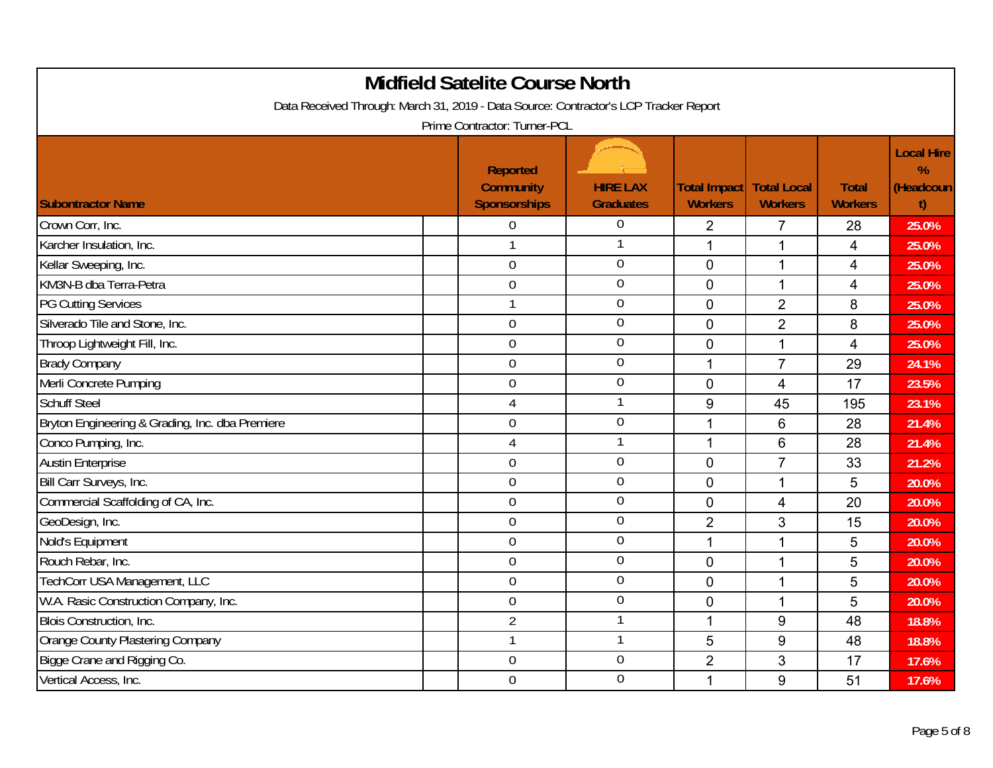| <b>Midfield Satelite Course North</b><br>Data Received Through: March 31, 2019 - Data Source: Contractor's LCP Tracker Report<br>Prime Contractor: Turner-PCL |                                                            |                                     |                                                     |                |                                |                                           |  |  |
|---------------------------------------------------------------------------------------------------------------------------------------------------------------|------------------------------------------------------------|-------------------------------------|-----------------------------------------------------|----------------|--------------------------------|-------------------------------------------|--|--|
| <b>Subontractor Name</b>                                                                                                                                      | <b>Reported</b><br><b>Community</b><br><b>Sponsorships</b> | <b>HIRE LAX</b><br><b>Graduates</b> | <b>Total Impact   Total Local</b><br><b>Workers</b> | <b>Workers</b> | <b>Total</b><br><b>Workers</b> | <b>Local Hire</b><br>%<br>(Headcoun<br>t) |  |  |
| Crown Corr, Inc.                                                                                                                                              | $\overline{0}$                                             | 0                                   | $\overline{2}$                                      | 7              | 28                             | 25.0%                                     |  |  |
| Karcher Insulation, Inc.                                                                                                                                      | $\mathbf{1}$                                               | 1                                   | 1                                                   | $\mathbf 1$    | $\overline{4}$                 | 25.0%                                     |  |  |
| Kellar Sweeping, Inc.                                                                                                                                         | $\overline{0}$                                             | $\overline{0}$                      | $\mathbf 0$                                         | $\mathbf{1}$   | $\overline{4}$                 | 25.0%                                     |  |  |
| KM3N-B dba Terra-Petra                                                                                                                                        | $\mathbf 0$                                                | $\overline{0}$                      | $\mathbf 0$                                         | 1              | $\overline{4}$                 | 25.0%                                     |  |  |
| <b>PG Cutting Services</b>                                                                                                                                    | $\overline{1}$                                             | $\overline{0}$                      | $\mathbf 0$                                         | $\overline{2}$ | 8                              | 25.0%                                     |  |  |
| Silverado Tile and Stone, Inc.                                                                                                                                | $\mathbf 0$                                                | $\mathbf 0$                         | $\mathbf 0$                                         | $\overline{2}$ | 8                              | 25.0%                                     |  |  |
| Throop Lightweight Fill, Inc.                                                                                                                                 | $\mathbf 0$                                                | $\overline{0}$                      | $\overline{0}$                                      | $\mathbf{1}$   | $\overline{4}$                 | 25.0%                                     |  |  |
| <b>Brady Company</b>                                                                                                                                          | $\overline{0}$                                             | $\overline{0}$                      | 1                                                   | $\overline{7}$ | 29                             | 24.1%                                     |  |  |
| Merli Concrete Pumping                                                                                                                                        | $\mathbf 0$                                                | $\pmb{0}$                           | $\mathbf 0$                                         | $\overline{4}$ | 17                             | 23.5%                                     |  |  |
| <b>Schuff Steel</b>                                                                                                                                           | $\overline{4}$                                             | $\mathbf{1}$                        | 9                                                   | 45             | 195                            | 23.1%                                     |  |  |
| Bryton Engineering & Grading, Inc. dba Premiere                                                                                                               | $\mathbf 0$                                                | $\mathbf 0$                         | 1                                                   | 6              | 28                             | 21.4%                                     |  |  |
| Conco Pumping, Inc.                                                                                                                                           | $\overline{4}$                                             | 1                                   | 1                                                   | 6              | 28                             | 21.4%                                     |  |  |
| <b>Austin Enterprise</b>                                                                                                                                      | $\mathbf 0$                                                | $\mathbf 0$                         | $\overline{0}$                                      | $\overline{7}$ | 33                             | 21.2%                                     |  |  |
| Bill Carr Surveys, Inc.                                                                                                                                       | $\mathbf 0$                                                | $\overline{0}$                      | $\overline{0}$                                      | $\mathbf{1}$   | 5                              | 20.0%                                     |  |  |
| Commercial Scaffolding of CA, Inc.                                                                                                                            | $\mathbf 0$                                                | $\mathbf 0$                         | $\overline{0}$                                      | $\overline{4}$ | 20                             | 20.0%                                     |  |  |
| GeoDesign, Inc.                                                                                                                                               | $\boldsymbol{0}$                                           | $\overline{0}$                      | $\overline{2}$                                      | 3              | 15                             | 20.0%                                     |  |  |
| Nold's Equipment                                                                                                                                              | $\overline{0}$                                             | $\overline{0}$                      | 1                                                   | $\mathbf 1$    | 5                              | 20.0%                                     |  |  |
| Rouch Rebar, Inc.                                                                                                                                             | $\mathbf 0$                                                | $\mathbf 0$                         | $\overline{0}$                                      | 1              | 5                              | 20.0%                                     |  |  |
| TechCorr USA Management, LLC                                                                                                                                  | $\overline{0}$                                             | $\overline{0}$                      | $\mathbf 0$                                         | 1              | 5                              | 20.0%                                     |  |  |
| W.A. Rasic Construction Company, Inc.                                                                                                                         | $\overline{0}$                                             | $\mathbf 0$                         | $\overline{0}$                                      | 1              | 5                              | 20.0%                                     |  |  |
| Blois Construction, Inc.                                                                                                                                      | $\overline{2}$                                             | $\mathbf{1}$                        | 1                                                   | 9              | 48                             | 18.8%                                     |  |  |
| Orange County Plastering Company                                                                                                                              | $\mathbf 1$                                                | $\mathbf{1}$                        | 5                                                   | 9              | 48                             | 18.8%                                     |  |  |
| Bigge Crane and Rigging Co.                                                                                                                                   | $\mathbf 0$                                                | $\overline{0}$                      | $\overline{2}$                                      | 3              | 17                             | 17.6%                                     |  |  |
| Vertical Access, Inc.                                                                                                                                         | $\overline{0}$                                             | $\overline{0}$                      | 1                                                   | 9              | 51                             | 17.6%                                     |  |  |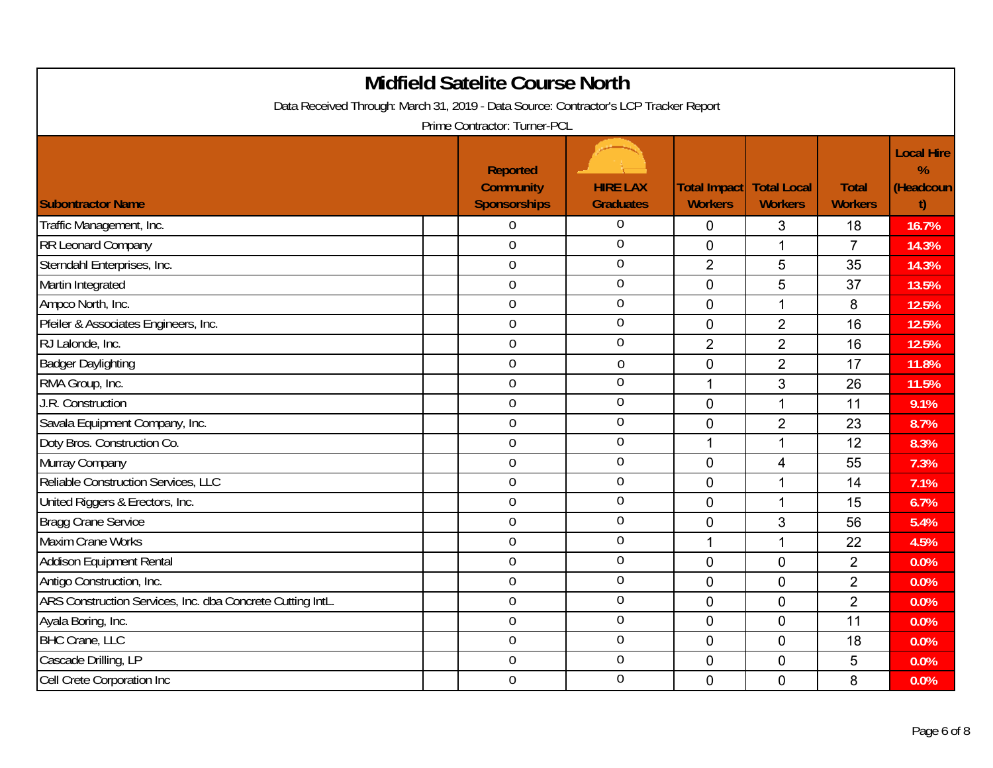| <b>Midfield Satelite Course North</b><br>Data Received Through: March 31, 2019 - Data Source: Contractor's LCP Tracker Report<br>Prime Contractor: Turner-PCL |                                                            |                                     |                                                     |                |                                |                                           |  |  |
|---------------------------------------------------------------------------------------------------------------------------------------------------------------|------------------------------------------------------------|-------------------------------------|-----------------------------------------------------|----------------|--------------------------------|-------------------------------------------|--|--|
| <b>Subontractor Name</b>                                                                                                                                      | <b>Reported</b><br><b>Community</b><br><b>Sponsorships</b> | <b>HIRE LAX</b><br><b>Graduates</b> | <b>Total Impact   Total Local</b><br><b>Workers</b> | <b>Workers</b> | <b>Total</b><br><b>Workers</b> | <b>Local Hire</b><br>%<br>(Headcoun<br>t) |  |  |
| Traffic Management, Inc.                                                                                                                                      | $\overline{0}$                                             | 0                                   | 0                                                   | 3              | 18                             | 16.7%                                     |  |  |
| RR Leonard Company                                                                                                                                            | $\mathbf 0$                                                | $\overline{0}$                      | $\mathbf 0$                                         | 1              | $\overline{7}$                 | 14.3%                                     |  |  |
| Sterndahl Enterprises, Inc.                                                                                                                                   | $\overline{0}$                                             | $\overline{0}$                      | $\overline{2}$                                      | 5              | 35                             | 14.3%                                     |  |  |
| Martin Integrated                                                                                                                                             | $\boldsymbol{0}$                                           | $\overline{0}$                      | $\mathbf 0$                                         | 5              | 37                             | 13.5%                                     |  |  |
| Ampco North, Inc.                                                                                                                                             | $\mathbf 0$                                                | $\overline{0}$                      | $\Omega$                                            | $\mathbf{1}$   | 8                              | 12.5%                                     |  |  |
| Pfeiler & Associates Engineers, Inc.                                                                                                                          | $\mathbf 0$                                                | $\theta$                            | $\mathbf 0$                                         | $\overline{2}$ | 16                             | 12.5%                                     |  |  |
| RJ Lalonde, Inc.                                                                                                                                              | $\mathbf 0$                                                | $\mathbf 0$                         | $\overline{2}$                                      | $\overline{2}$ | 16                             | 12.5%                                     |  |  |
| <b>Badger Daylighting</b>                                                                                                                                     | $\mathbf 0$                                                | 0                                   | $\overline{0}$                                      | $\overline{2}$ | 17                             | 11.8%                                     |  |  |
| RMA Group, Inc.                                                                                                                                               | $\mathbf 0$                                                | $\mathbf 0$                         | 1                                                   | 3              | 26                             | 11.5%                                     |  |  |
| J.R. Construction                                                                                                                                             | $\boldsymbol{0}$                                           | $\mathbf 0$                         | $\mathbf 0$                                         | 1              | 11                             | 9.1%                                      |  |  |
| Savala Equipment Company, Inc.                                                                                                                                | $\overline{0}$                                             | $\mathbf 0$                         | $\Omega$                                            | $\overline{2}$ | 23                             | 8.7%                                      |  |  |
| Doty Bros. Construction Co.                                                                                                                                   | $\mathbf 0$                                                | $\mathbf 0$                         | 1                                                   | $\mathbf{1}$   | 12                             | 8.3%                                      |  |  |
| Murray Company                                                                                                                                                | $\mathbf 0$                                                | $\overline{0}$                      | $\mathbf 0$                                         | $\overline{4}$ | 55                             | 7.3%                                      |  |  |
| Reliable Construction Services, LLC                                                                                                                           | $\mathbf 0$                                                | $\mathbf 0$                         | $\overline{0}$                                      | $\mathbf 1$    | 14                             | 7.1%                                      |  |  |
| United Riggers & Erectors, Inc.                                                                                                                               | $\boldsymbol{0}$                                           | $\mathbf 0$                         | $\mathbf 0$                                         | 1              | 15                             | 6.7%                                      |  |  |
| <b>Bragg Crane Service</b>                                                                                                                                    | $\mathbf 0$                                                | $\overline{0}$                      | $\mathbf 0$                                         | 3              | 56                             | 5.4%                                      |  |  |
| <b>Maxim Crane Works</b>                                                                                                                                      | $\mathbf 0$                                                | $\overline{0}$                      | 1                                                   | 1              | 22                             | 4.5%                                      |  |  |
| Addison Equipment Rental                                                                                                                                      | $\overline{0}$                                             | $\overline{0}$                      | $\mathbf{0}$                                        | $\overline{0}$ | $\overline{2}$                 | 0.0%                                      |  |  |
| Antigo Construction, Inc.                                                                                                                                     | $\mathbf 0$                                                | $\overline{0}$                      | 0                                                   | 0              | $\overline{2}$                 | 0.0%                                      |  |  |
| ARS Construction Services, Inc. dba Concrete Cutting IntL.                                                                                                    | $\mathbf 0$                                                | $\overline{0}$                      | $\overline{0}$                                      | $\overline{0}$ | $\overline{2}$                 | 0.0%                                      |  |  |
| Ayala Boring, Inc.                                                                                                                                            | $\boldsymbol{0}$                                           | $\boldsymbol{0}$                    | $\mathbf 0$                                         | $\mathbf 0$    | 11                             | 0.0%                                      |  |  |
| <b>BHC Crane, LLC</b>                                                                                                                                         | $\mathbf 0$                                                | $\overline{0}$                      | $\mathbf 0$                                         | $\mathbf 0$    | 18                             | 0.0%                                      |  |  |
| Cascade Drilling, LP                                                                                                                                          | $\mathbf 0$                                                | $\overline{0}$                      | $\overline{0}$                                      | $\mathbf 0$    | 5                              | 0.0%                                      |  |  |
| Cell Crete Corporation Inc                                                                                                                                    | $\overline{0}$                                             | $\mathbf 0$                         | $\mathbf 0$                                         | $\overline{0}$ | 8                              | 0.0%                                      |  |  |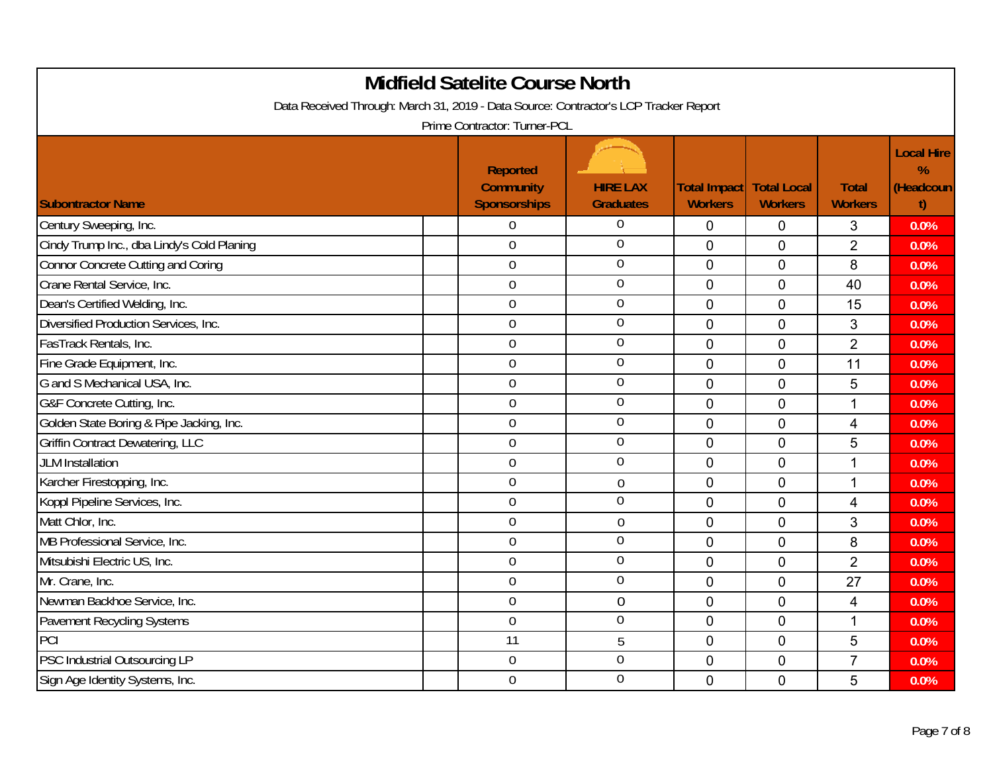| <b>Midfield Satelite Course North</b><br>Data Received Through: March 31, 2019 - Data Source: Contractor's LCP Tracker Report<br>Prime Contractor: Turner-PCL |                                                     |                                     |                                            |                |                                |                                           |  |  |
|---------------------------------------------------------------------------------------------------------------------------------------------------------------|-----------------------------------------------------|-------------------------------------|--------------------------------------------|----------------|--------------------------------|-------------------------------------------|--|--|
| <b>Subontractor Name</b>                                                                                                                                      | Reported<br><b>Community</b><br><b>Sponsorships</b> | <b>HIRE LAX</b><br><b>Graduates</b> | Total Impact Total Local<br><b>Workers</b> | <b>Workers</b> | <b>Total</b><br><b>Workers</b> | <b>Local Hire</b><br>%<br>(Headcoun<br>t) |  |  |
| Century Sweeping, Inc.                                                                                                                                        | $\Omega$                                            | $\theta$                            | 0                                          | 0              | 3                              | 0.0%                                      |  |  |
| Cindy Trump Inc., dba Lindy's Cold Planing                                                                                                                    | $\overline{0}$                                      | $\mathbf 0$                         | $\mathbf 0$                                | 0              | $\overline{2}$                 | 0.0%                                      |  |  |
| <b>Connor Concrete Cutting and Coring</b>                                                                                                                     | $\mathbf 0$                                         | $\overline{0}$                      | $\mathbf 0$                                | $\mathbf 0$    | 8                              | 0.0%                                      |  |  |
| Crane Rental Service, Inc.                                                                                                                                    | $\overline{0}$                                      | $\overline{0}$                      | $\mathbf 0$                                | $\mathbf 0$    | 40                             | 0.0%                                      |  |  |
| Dean's Certified Welding, Inc.                                                                                                                                | $\boldsymbol{0}$                                    | $\overline{0}$                      | $\mathbf 0$                                | $\overline{0}$ | 15                             | 0.0%                                      |  |  |
| Diversified Production Services, Inc.                                                                                                                         | $\mathbf 0$                                         | $\overline{0}$                      | $\Omega$                                   | 0              | 3                              | 0.0%                                      |  |  |
| FasTrack Rentals, Inc.                                                                                                                                        | $\mathbf 0$                                         | $\overline{0}$                      | $\mathbf 0$                                | 0              | $\overline{2}$                 | 0.0%                                      |  |  |
| Fine Grade Equipment, Inc.                                                                                                                                    | $\mathbf 0$                                         | $\mathbf 0$                         | $\Omega$                                   | $\overline{0}$ | 11                             | 0.0%                                      |  |  |
| G and S Mechanical USA, Inc.                                                                                                                                  | $\overline{0}$                                      | $\overline{0}$                      | $\mathbf 0$                                | $\mathbf 0$    | 5                              | 0.0%                                      |  |  |
| G&F Concrete Cutting, Inc.                                                                                                                                    | $\mathbf 0$                                         | $\mathbf 0$                         | $\overline{0}$                             | $\overline{0}$ | $\mathbf{1}$                   | 0.0%                                      |  |  |
| Golden State Boring & Pipe Jacking, Inc.                                                                                                                      | $\mathbf 0$                                         | $\overline{0}$                      | $\mathbf 0$                                | $\overline{0}$ | 4                              | 0.0%                                      |  |  |
| Griffin Contract Dewatering, LLC                                                                                                                              | $\mathbf 0$                                         | $\mathbf 0$                         | $\mathbf 0$                                | $\mathbf 0$    | 5                              | 0.0%                                      |  |  |
| <b>JLM</b> Installation                                                                                                                                       | $\mathbf 0$                                         | $\overline{0}$                      | $\mathbf 0$                                | $\overline{0}$ | $\mathbf{1}$                   | 0.0%                                      |  |  |
| Karcher Firestopping, Inc.                                                                                                                                    | $\overline{0}$                                      | $\overline{0}$                      | $\Omega$                                   | $\overline{0}$ | $\mathbf{1}$                   | 0.0%                                      |  |  |
| Koppl Pipeline Services, Inc.                                                                                                                                 | $\boldsymbol{0}$                                    | $\mathbf 0$                         | $\mathbf 0$                                | $\mathbf 0$    | 4                              | 0.0%                                      |  |  |
| Matt Chlor, Inc.                                                                                                                                              | $\mathbf 0$                                         | $\mathbf 0$                         | $\mathbf 0$                                | $\overline{0}$ | 3                              | 0.0%                                      |  |  |
| MB Professional Service, Inc.                                                                                                                                 | $\mathbf 0$                                         | $\overline{0}$                      | $\overline{0}$                             | $\mathbf 0$    | 8                              | 0.0%                                      |  |  |
| Mitsubishi Electric US, Inc.                                                                                                                                  | $\mathbf 0$                                         | $\overline{0}$                      | $\overline{0}$                             | $\overline{0}$ | $\overline{2}$                 | 0.0%                                      |  |  |
| Mr. Crane, Inc.                                                                                                                                               | $\overline{0}$                                      | $\overline{0}$                      | $\mathbf 0$                                | 0              | 27                             | 0.0%                                      |  |  |
| Newman Backhoe Service, Inc.                                                                                                                                  | $\overline{0}$                                      | $\overline{0}$                      | $\overline{0}$                             | $\overline{0}$ | $\overline{4}$                 | 0.0%                                      |  |  |
| <b>Pavement Recycling Systems</b>                                                                                                                             | $\boldsymbol{0}$                                    | $\overline{0}$                      | $\overline{0}$                             | $\mathbf 0$    | $\mathbf 1$                    | 0.0%                                      |  |  |
| PCI                                                                                                                                                           | 11                                                  | 5                                   | $\mathbf 0$                                | $\mathbf 0$    | 5                              | 0.0%                                      |  |  |
| PSC Industrial Outsourcing LP                                                                                                                                 | $\mathbf 0$                                         | $\overline{0}$                      | $\mathbf 0$                                | $\overline{0}$ | $\overline{7}$                 | 0.0%                                      |  |  |
| Sign Age Identity Systems, Inc.                                                                                                                               | $\overline{0}$                                      | $\overline{0}$                      | $\Omega$                                   | $\overline{0}$ | 5                              | 0.0%                                      |  |  |